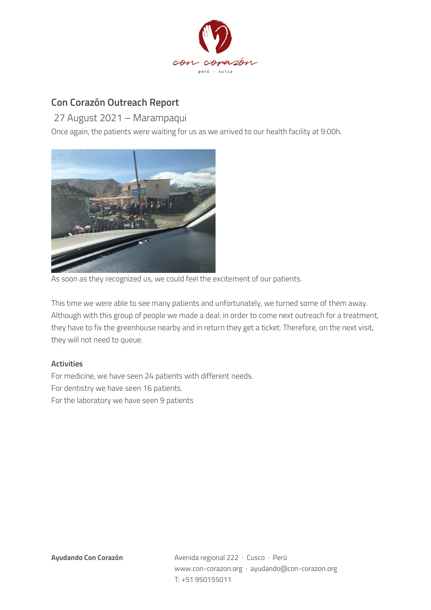

## **Con Corazón Outreach Report**

27 August 2021 – Marampaqui

Once again, the patients were waiting for us as we arrived to our health facility at 9:00h.



As soon as they recognized us, we could feel the excitement of our patients.

This time we were able to see many patients and unfortunately, we turned some of them away. Although with this group of people we made a deal: in order to come next outreach for a treatment, they have to fix the greenhouse nearby and in return they get a ticket. Therefore, on the next visit, they will not need to queue.

## **Activities**

For medicine, we have seen 24 patients with different needs. For dentistry we have seen 16 patients. For the laboratory we have seen 9 patients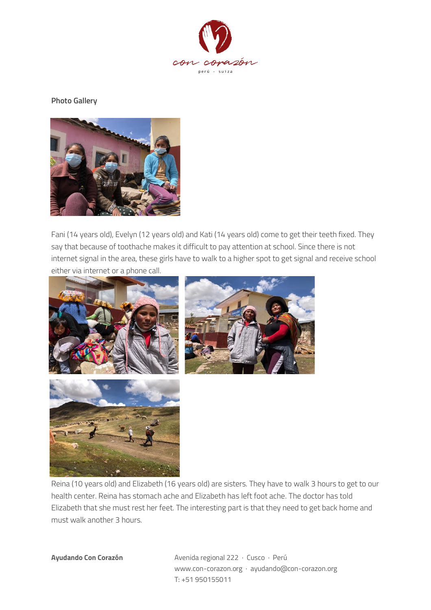

**Photo Gallery**



Fani (14 years old), Evelyn (12 years old) and Kati (14 years old) come to get their teeth fixed. They say that because of toothache makes it difficult to pay attention at school. Since there is not internet signal in the area, these girls have to walk to a higher spot to get signal and receive school either via internet or a phone call.





Reina (10 years old) and Elizabeth (16 years old) are sisters. They have to walk 3 hours to get to our health center. Reina has stomach ache and Elizabeth has left foot ache. The doctor has told Elizabeth that she must rest her feet. The interesting part is that they need to get back home and must walk another 3 hours.

**Ayudando Con Corazón** Avenida regional 222 · Cusco · Perú www.con-corazon.org · ayudando@con-corazon.org T: +51 950155011